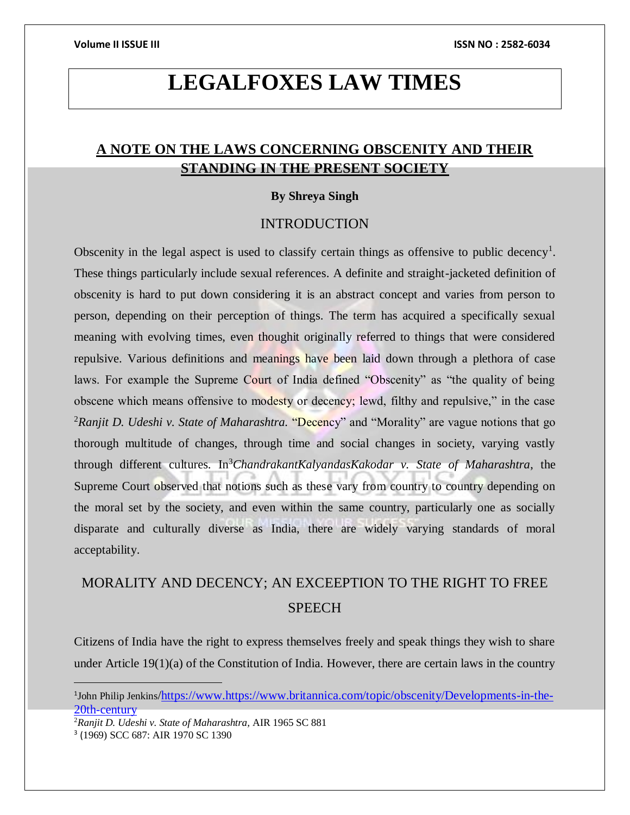# **LEGALFOXES LAW TIMES**

## **A NOTE ON THE LAWS CONCERNING OBSCENITY AND THEIR STANDING IN THE PRESENT SOCIETY**

### **By Shreya Singh**

### INTRODUCTION

Obscenity in the legal aspect is used to classify certain things as offensive to public decency<sup>1</sup>. These things particularly include sexual references. A definite and straight-jacketed definition of obscenity is hard to put down considering it is an abstract concept and varies from person to person, depending on their perception of things. The term has acquired a specifically sexual meaning with evolving times, even thoughit originally referred to things that were considered repulsive. Various definitions and meanings have been laid down through a plethora of case laws. For example the Supreme Court of India defined "Obscenity" as "the quality of being obscene which means offensive to modesty or decency; lewd, filthy and repulsive," in the case <sup>2</sup>Ranjit D. Udeshi v. State of Maharashtra. "Decency" and "Morality" are vague notions that go thorough multitude of changes, through time and social changes in society, varying vastly through different cultures. In<sup>3</sup>*ChandrakantKalyandasKakodar v. State of Maharashtra*, the Supreme Court observed that notions such as these vary from country to country depending on the moral set by the society, and even within the same country, particularly one as socially disparate and culturally diverse as India, there are widely varying standards of moral acceptability.

## MORALITY AND DECENCY; AN EXCEEPTION TO THE RIGHT TO FREE **SPEECH**

Citizens of India have the right to express themselves freely and speak things they wish to share under Article 19(1)(a) of the Constitution of India. However, there are certain laws in the country

<sup>2</sup>*Ranjit D. Udeshi v. State of Maharashtra,* AIR 1965 SC 881

<sup>&</sup>lt;sup>1</sup>John Philip Jenkins/https://www.https://www.britannica.com/topic/obscenity/Developments-in-the-20th-century

<sup>3</sup> (1969) SCC 687: AIR 1970 SC 1390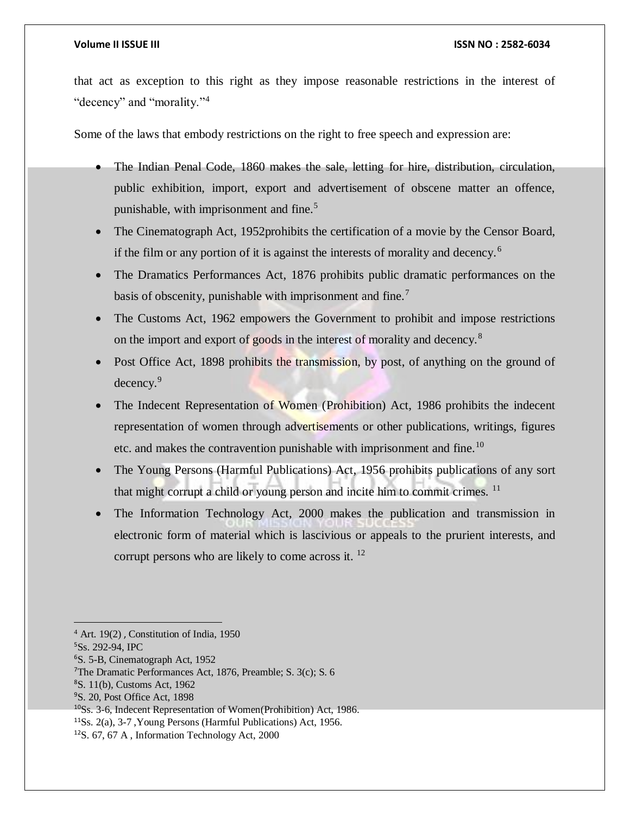### **Volume II ISSUE III ISSN NO : 2582-6034**

that act as exception to this right as they impose reasonable restrictions in the interest of "decency" and "morality."<sup>4</sup>

Some of the laws that embody restrictions on the right to free speech and expression are:

- The Indian Penal Code, 1860 makes the sale, letting for hire, distribution, circulation, public exhibition, import, export and advertisement of obscene matter an offence, punishable, with imprisonment and fine.<sup>5</sup>
- The Cinematograph Act, 1952 prohibits the certification of a movie by the Censor Board, if the film or any portion of it is against the interests of morality and decency.<sup>6</sup>
- The Dramatics Performances Act, 1876 prohibits public dramatic performances on the basis of obscenity, punishable with imprisonment and fine.<sup>7</sup>
- The Customs Act, 1962 empowers the Government to prohibit and impose restrictions on the import and export of goods in the interest of morality and decency.<sup>8</sup>
- Post Office Act, 1898 prohibits the transmission, by post, of anything on the ground of decency.<sup>9</sup>
- The Indecent Representation of Women (Prohibition) Act, 1986 prohibits the indecent representation of women through advertisements or other publications, writings, figures etc. and makes the contravention punishable with imprisonment and fine.<sup>10</sup>
- The Young Persons (Harmful Publications) Act, 1956 prohibits publications of any sort that might corrupt a child or young person and incite him to commit crimes. <sup>11</sup>
- The Information Technology Act, 2000 makes the publication and transmission in electronic form of material which is lascivious or appeals to the prurient interests, and corrupt persons who are likely to come across it. <sup>12</sup>

<sup>4</sup> Art. 19(2) , Constitution of India, 1950

<sup>5</sup>Ss. 292-94, IPC

<sup>6</sup>S. 5-B, Cinematograph Act, 1952

<sup>7</sup>The Dramatic Performances Act, 1876, Preamble; S. 3(c); S. 6

<sup>8</sup>S. 11(b), Customs Act, 1962

<sup>9</sup>S. 20, Post Office Act, 1898

<sup>10</sup>Ss. 3-6, Indecent Representation of Women(Prohibition) Act, 1986.

<sup>11</sup>Ss. 2(a), 3-7 ,Young Persons (Harmful Publications) Act, 1956.

<sup>12</sup>S. 67, 67 A , Information Technology Act, 2000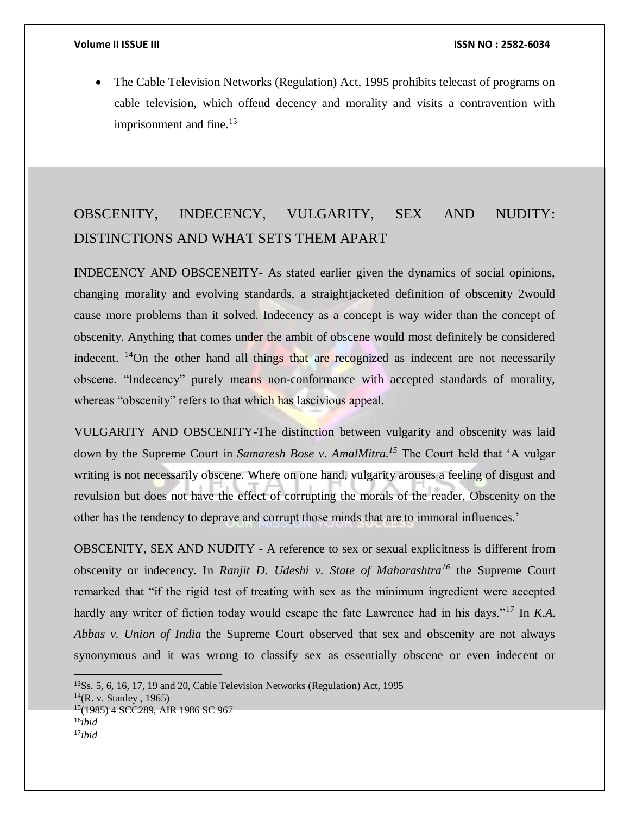$\overline{a}$ 

• The Cable Television Networks (Regulation) Act, 1995 prohibits telecast of programs on cable television, which offend decency and morality and visits a contravention with imprisonment and fine. $13$ 

## OBSCENITY, INDECENCY, VULGARITY, SEX AND NUDITY: DISTINCTIONS AND WHAT SETS THEM APART

INDECENCY AND OBSCENEITY- As stated earlier given the dynamics of social opinions, changing morality and evolving standards, a straightjacketed definition of obscenity 2would cause more problems than it solved. Indecency as a concept is way wider than the concept of obscenity. Anything that comes under the ambit of obscene would most definitely be considered indecent. <sup>14</sup>On the other hand all things that are recognized as indecent are not necessarily obscene. "Indecency" purely means non-conformance with accepted standards of morality, whereas "obscenity" refers to that which has lascivious appeal.

VULGARITY AND OBSCENITY-The distinction between vulgarity and obscenity was laid down by the Supreme Court in *Samaresh Bose v. AmalMitra.<sup>15</sup>* The Court held that 'A vulgar writing is not necessarily obscene. Where on one hand, vulgarity arouses a feeling of disgust and revulsion but does not have the effect of corrupting the morals of the reader, Obscenity on the other has the tendency to deprave and corrupt those minds that are to immoral influences.'

OBSCENITY, SEX AND NUDITY - A reference to sex or sexual explicitness is different from obscenity or indecency. In *Ranjit D. Udeshi v. State of Maharashtra<sup>16</sup>* the Supreme Court remarked that "if the rigid test of treating with sex as the minimum ingredient were accepted hardly any writer of fiction today would escape the fate Lawrence had in his days."<sup>17</sup> In *K.A. Abbas v. Union of India* the Supreme Court observed that sex and obscenity are not always synonymous and it was wrong to classify sex as essentially obscene or even indecent or

<sup>13</sup>Ss. 5, 6, 16, 17, 19 and 20, Cable Television Networks (Regulation) Act, 1995  $^{14}$ (R. v. Stanley, 1965) <sup>15</sup>(1985) 4 SCC289, AIR 1986 SC 967 <sup>16</sup>*ibid* 17*ibid*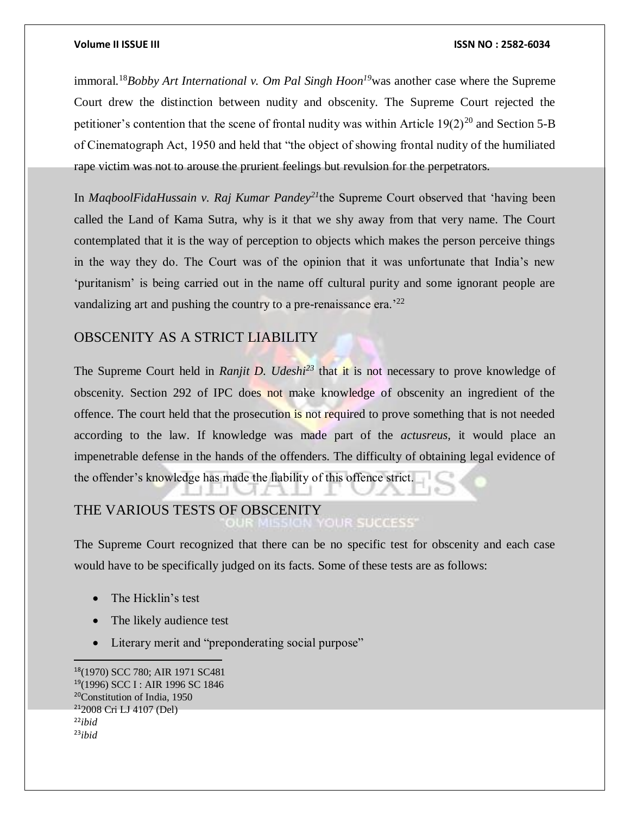### **Volume II ISSUE III ISSN NO : 2582-6034**

immoral.<sup>18</sup>*Bobby Art International v. Om Pal Singh Hoon<sup>19</sup>*was another case where the Supreme Court drew the distinction between nudity and obscenity. The Supreme Court rejected the petitioner's contention that the scene of frontal nudity was within Article  $19(2)^{20}$  and Section 5-B of Cinematograph Act, 1950 and held that "the object of showing frontal nudity of the humiliated rape victim was not to arouse the prurient feelings but revulsion for the perpetrators.

In *MaqboolFidaHussain v. Raj Kumar Pandey<sup>21</sup>*the Supreme Court observed that 'having been called the Land of Kama Sutra, why is it that we shy away from that very name. The Court contemplated that it is the way of perception to objects which makes the person perceive things in the way they do. The Court was of the opinion that it was unfortunate that India's new 'puritanism' is being carried out in the name off cultural purity and some ignorant people are vandalizing art and pushing the country to a pre-renaissance era.<sup>22</sup>

### OBSCENITY AS A STRICT LIABILITY

The Supreme Court held in *Ranjit D. Udeshi*<sup>23</sup> that it is not necessary to prove knowledge of obscenity. Section 292 of IPC does not make knowledge of obscenity an ingredient of the offence. The court held that the prosecution is not required to prove something that is not needed according to the law. If knowledge was made part of the *actusreus,* it would place an impenetrable defense in the hands of the offenders. The difficulty of obtaining legal evidence of the offender's knowledge has made the liability of this offence strict.

# THE VARIOUS TESTS OF OBSCENITY

The Supreme Court recognized that there can be no specific test for obscenity and each case would have to be specifically judged on its facts. Some of these tests are as follows:

- The Hicklin's test
- The likely audience test
- Literary merit and "preponderating social purpose"

(1970) SCC 780; AIR 1971 SC481 (1996) SCC I : AIR 1996 SC 1846 Constitution of India, 1950 2008 Cri LJ 4107 (Del) <sup>22</sup>*ibid* 23*ibid*

 $\overline{a}$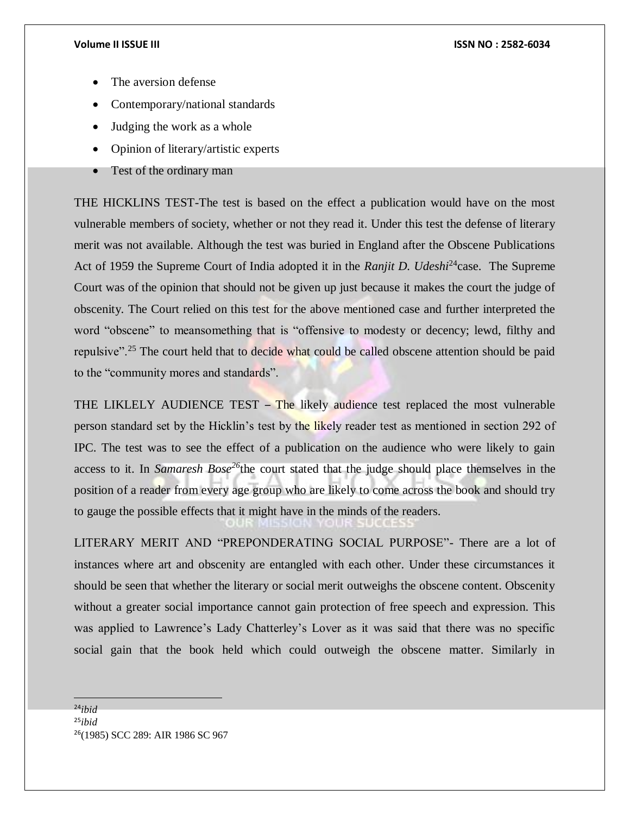- The aversion defense
- Contemporary/national standards
- Judging the work as a whole
- Opinion of literary/artistic experts
- Test of the ordinary man

THE HICKLINS TEST-The test is based on the effect a publication would have on the most vulnerable members of society, whether or not they read it. Under this test the defense of literary merit was not available. Although the test was buried in England after the Obscene Publications Act of 1959 the Supreme Court of India adopted it in the *Ranjit D. Udeshi*<sup>24</sup>case. The Supreme Court was of the opinion that should not be given up just because it makes the court the judge of obscenity. The Court relied on this test for the above mentioned case and further interpreted the word "obscene" to meansomething that is "offensive to modesty or decency; lewd, filthy and repulsive".<sup>25</sup> The court held that to decide what could be called obscene attention should be paid to the "community mores and standards".

THE LIKLELY AUDIENCE TEST – The likely audience test replaced the most vulnerable person standard set by the Hicklin's test by the likely reader test as mentioned in section 292 of IPC. The test was to see the effect of a publication on the audience who were likely to gain access to it. In *Samaresh Bose<sup>26</sup>*the court stated that the judge should place themselves in the position of a reader from every age group who are likely to come across the book and should try to gauge the possible effects that it might have in the minds of the readers.

LITERARY MERIT AND "PREPONDERATING SOCIAL PURPOSE"- There are a lot of instances where art and obscenity are entangled with each other. Under these circumstances it should be seen that whether the literary or social merit outweighs the obscene content. Obscenity without a greater social importance cannot gain protection of free speech and expression. This was applied to Lawrence's Lady Chatterley's Lover as it was said that there was no specific social gain that the book held which could outweigh the obscene matter. Similarly in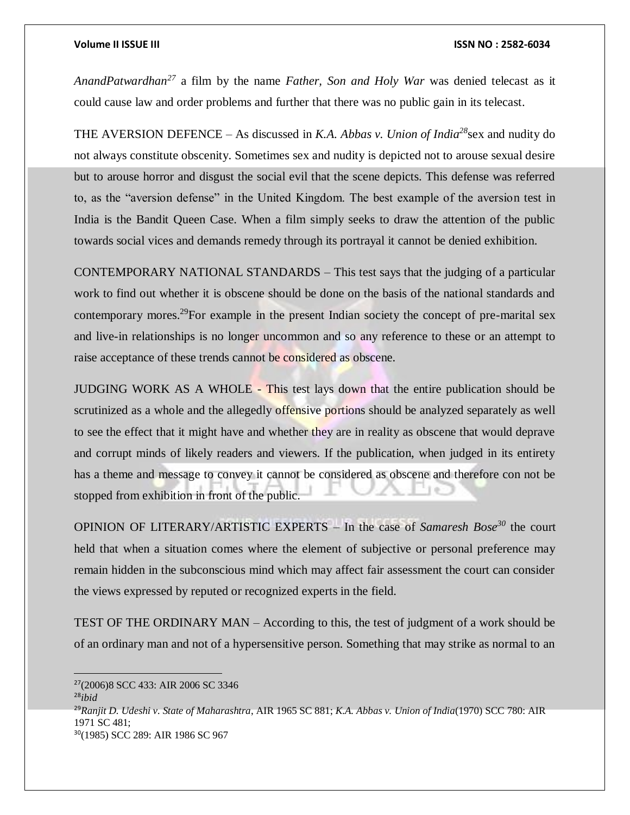### **Volume II ISSUE III ISSN NO : 2582-6034**

*AnandPatwardhan<sup>27</sup>* a film by the name *Father, Son and Holy War* was denied telecast as it could cause law and order problems and further that there was no public gain in its telecast.

THE AVERSION DEFENCE – As discussed in *K.A. Abbas v. Union of India<sup>28</sup>*sex and nudity do not always constitute obscenity. Sometimes sex and nudity is depicted not to arouse sexual desire but to arouse horror and disgust the social evil that the scene depicts. This defense was referred to, as the "aversion defense" in the United Kingdom. The best example of the aversion test in India is the Bandit Queen Case. When a film simply seeks to draw the attention of the public towards social vices and demands remedy through its portrayal it cannot be denied exhibition.

CONTEMPORARY NATIONAL STANDARDS – This test says that the judging of a particular work to find out whether it is obscene should be done on the basis of the national standards and contemporary mores.<sup>29</sup>For example in the present Indian society the concept of pre-marital sex and live-in relationships is no longer uncommon and so any reference to these or an attempt to raise acceptance of these trends cannot be considered as obscene.

JUDGING WORK AS A WHOLE - This test lays down that the entire publication should be scrutinized as a whole and the allegedly offensive portions should be analyzed separately as well to see the effect that it might have and whether they are in reality as obscene that would deprave and corrupt minds of likely readers and viewers. If the publication, when judged in its entirety has a theme and message to convey it cannot be considered as obscene and therefore con not be stopped from exhibition in front of the public.

OPINION OF LITERARY/ARTISTIC EXPERTS – In the case of *Samaresh Bose<sup>30</sup>* the court held that when a situation comes where the element of subjective or personal preference may remain hidden in the subconscious mind which may affect fair assessment the court can consider the views expressed by reputed or recognized experts in the field.

TEST OF THE ORDINARY MAN – According to this, the test of judgment of a work should be of an ordinary man and not of a hypersensitive person. Something that may strike as normal to an

 $\overline{a}$ <sup>27</sup>(2006)8 SCC 433: AIR 2006 SC 3346 <sup>28</sup>*ibid* <sup>29</sup>*Ranjit D. Udeshi v. State of Maharashtra*, AIR 1965 SC 881; *K.A. Abbas v. Union of India*(1970) SCC 780: AIR 1971 SC 481; 30(1985) SCC 289: AIR 1986 SC 967